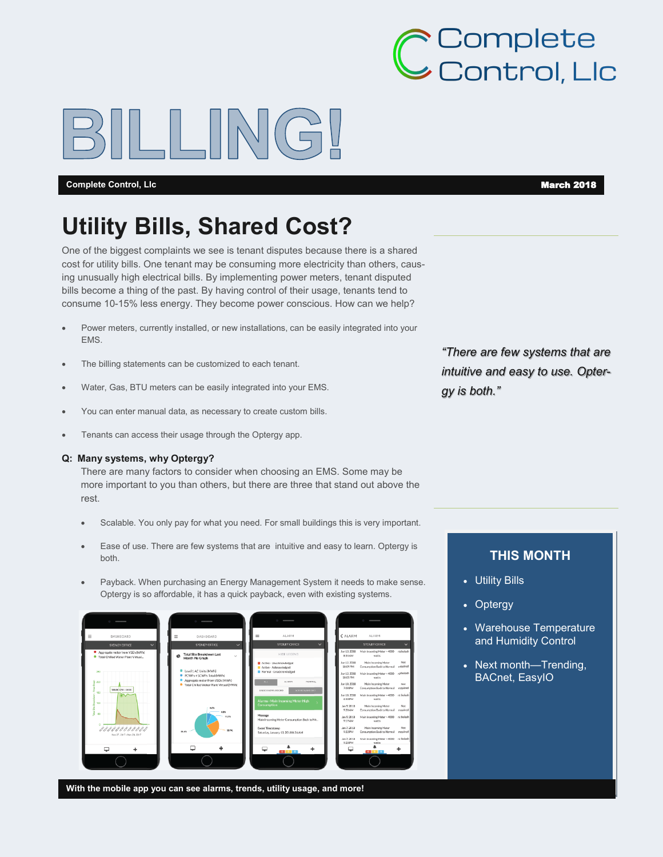# **>** Complete<br>→ Control, Llc

#### **Complete Control, Lic March 2018**

## **Utility Bills, Shared Cost?**

One of the biggest complaints we see is tenant disputes because there is a shared cost for utility bills. One tenant may be consuming more electricity than others, causing unusually high electrical bills. By implementing power meters, tenant disputed bills become a thing of the past. By having control of their usage, tenants tend to consume 10-15% less energy. They become power conscious. How can we help?

- Power meters, currently installed, or new installations, can be easily integrated into your EMS.
- The billing statements can be customized to each tenant.
- Water, Gas, BTU meters can be easily integrated into your EMS.
- You can enter manual data, as necessary to create custom bills.
- **•** Tenants can access their usage through the Optergy app.

#### **Q: Many systems, why Optergy?**

There are many factors to consider when choosing an EMS. Some may be more important to you than others, but there are three that stand out above the rest.

- Scalable. You only pay for what you need. For small buildings this is very important.
- Ease of use. There are few systems that are intuitive and easy to learn. Optergy is both.
- Payback. When purchasing an Energy Management System it needs to make sense. Optergy is so affordable, it has a quick payback, even with existing systems.



**With the mobile app you can see alarms, trends, utility usage, and more!** 

*"There are few systems that are intuitive and easy to use. Optergy is both."*

#### **THIS MONTH**

- Utility Bills
- Optergy
- Warehouse Temperature and Humidity Control
- Next month—Trending, BACnet, EasyIO